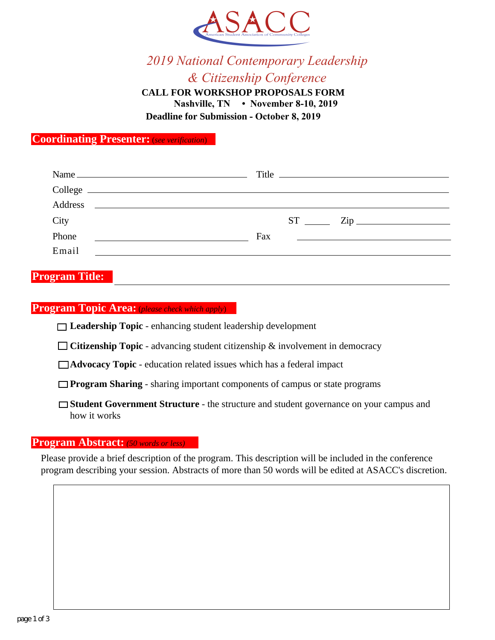

# 2019 National Contemporary Leadership & Citizenship Conference

**CALL FOR WORKSHOP PROPOSALS FORM** Nashville, TN • November 8-10, 2019 **Deadline for Submission - October 8, 2019** 

**Coordinating Presenter:** (see verification)

| Name                                                                                                                             | Title                                                                                                                        |
|----------------------------------------------------------------------------------------------------------------------------------|------------------------------------------------------------------------------------------------------------------------------|
| College                                                                                                                          |                                                                                                                              |
| Address<br><u> 1989 - Andrea State Barbara, amerikan personal di sebagai personal di sebagai personal di sebagai personal di</u> |                                                                                                                              |
| City                                                                                                                             | $ST$ $\frac{1}{\sqrt{2np}}$ $\frac{1}{\sqrt{2np}}$ $\frac{1}{\sqrt{2np}}$                                                    |
| Phone<br><u> 1989 - Johann Harry Barn, mars ar breithinn ar breithinn ar breithinn ar breithinn ar breithinn ar breithinn </u>   | Fax<br><u> 1980 - Jan Barbara Barat, martin da basar da basar da basar da basar da basar da basar da basar da basar da b</u> |
| Email<br><u> 1989 - Andrea State Barbara, política establecera en la contrada de la contrada de la contrada de la contrada</u>   |                                                                                                                              |
|                                                                                                                                  |                                                                                                                              |

## **Program Title:**

### **Program Topic Area:** (please check which apply)

- $\Box$  Leadership Topic enhancing student leadership development
- $\Box$  Citizenship Topic advancing student citizenship & involvement in democracy
- □ Advocacy Topic education related issues which has a federal impact
- $\Box$  **Program Sharing** sharing important components of campus or state programs
- □ Student Government Structure the structure and student governance on your campus and how it works

### **Program Abstract:** (50 words or less)

Please provide a brief description of the program. This description will be included in the conference program describing your session. Abstracts of more than 50 words will be edited at ASACC's discretion.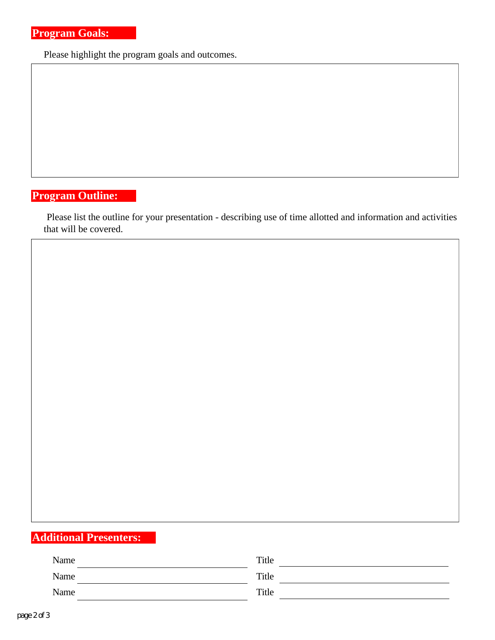Please highlight the program goals and outcomes.

## **Program Outline:**

Please list the outline for your presentation - describing use of time allotted and information and activities that will be covered.

# **Additional Presenters:**

| Name | Title |
|------|-------|
| Name | Title |
| Name | Title |